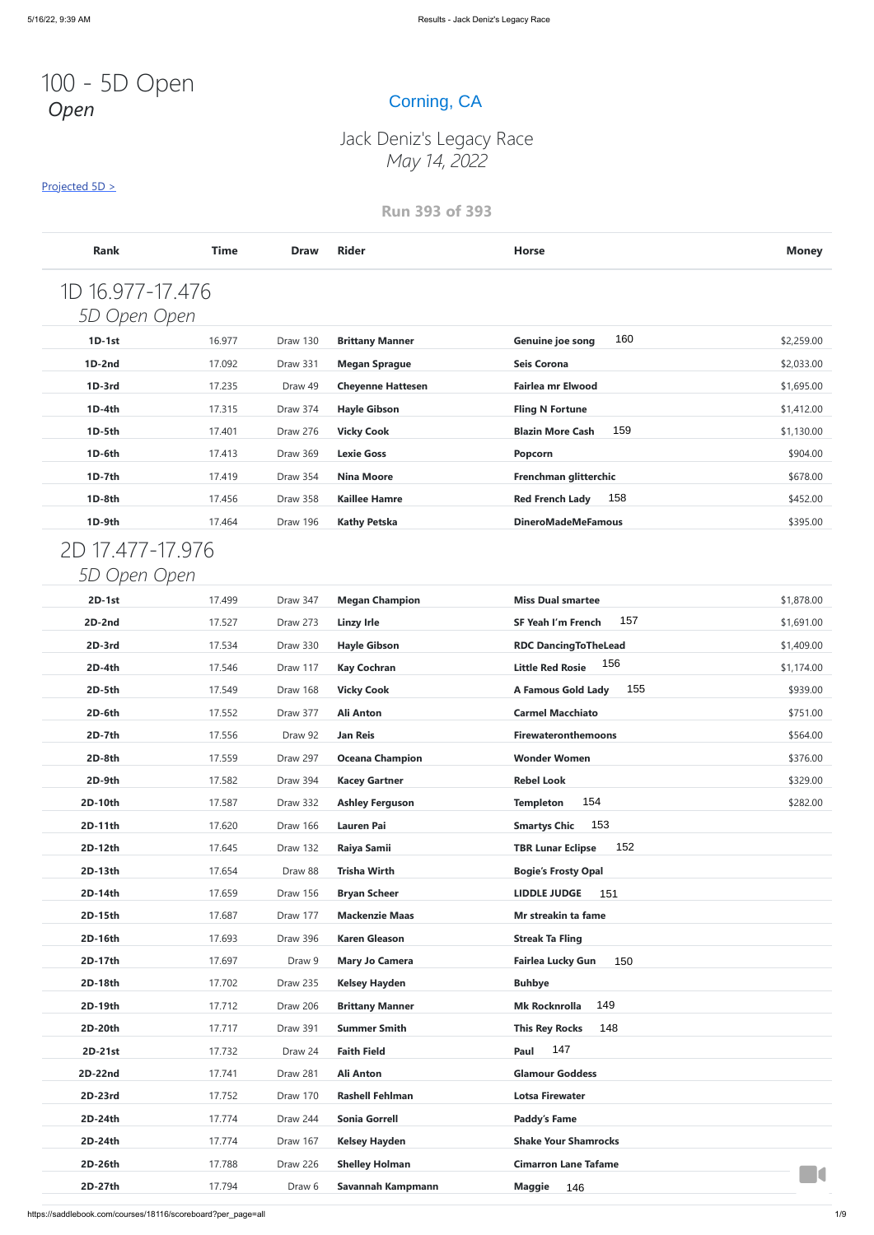# 100 - 5D Open *Open*

#### Projected 5D >

### **Run 393 of 393**

| pen              |             |             | Corning, CA              |                                  |              |
|------------------|-------------|-------------|--------------------------|----------------------------------|--------------|
|                  |             |             | Jack Deniz's Legacy Race |                                  |              |
|                  |             |             | May 14, 2022             |                                  |              |
| Projected 5D >   |             |             |                          |                                  |              |
|                  |             |             | <b>Run 393 of 393</b>    |                                  |              |
| <b>Rank</b>      | <b>Time</b> | <b>Draw</b> | <b>Rider</b>             | <b>Horse</b>                     | <b>Money</b> |
| 1D 16.977-17.476 |             |             |                          |                                  |              |
| 5D Open Open     |             |             |                          |                                  |              |
| $1D-1st$         | 16.977      | Draw 130    | <b>Brittany Manner</b>   | 160<br><b>Genuine joe song</b>   | \$2,259.00   |
| $1D-2nd$         | 17.092      | Draw 331    | <b>Megan Sprague</b>     | <b>Seis Corona</b>               | \$2,033.00   |
| 1D-3rd           | 17.235      | Draw 49     | <b>Cheyenne Hattesen</b> | Fairlea mr Elwood                | \$1,695.00   |
| 1D-4th           | 17.315      | Draw 374    | <b>Hayle Gibson</b>      | <b>Fling N Fortune</b>           | \$1,412.00   |
| 1D-5th           | 17.401      | Draw 276    | <b>Vicky Cook</b>        | 159<br><b>Blazin More Cash</b>   | \$1,130.00   |
| 1D-6th           | 17.413      | Draw 369    | <b>Lexie Goss</b>        | Popcorn                          | \$904.00     |
| $1D-7th$         | 17.419      | Draw 354    | <b>Nina Moore</b>        | Frenchman glitterchic            | \$678.00     |
| 1D-8th           | 17.456      | Draw 358    | <b>Kaillee Hamre</b>     | 158<br><b>Red French Lady</b>    | \$452.00     |
| 1D-9th           | 17.464      | Draw 196    | <b>Kathy Petska</b>      | <b>DineroMadeMeFamous</b>        | \$395.00     |
| 2D 17.477-17.976 |             |             |                          |                                  |              |
| Open Open        |             |             |                          |                                  |              |
| $2D-1st$         | 17.499      | Draw 347    | <b>Megan Champion</b>    | <b>Miss Dual smartee</b>         | \$1,878.00   |
| 2D-2nd           | 17.527      | Draw 273    | <b>Linzy Irle</b>        | 157<br><b>SF Yeah I'm French</b> | \$1,691.00   |
| $2D-3rd$         | 17.534      | Draw 330    | <b>Hayle Gibson</b>      | <b>RDC DancingToTheLead</b>      | \$1,409.00   |
| $2D-4th$         | 17.546      | Draw 117    | <b>Kay Cochran</b>       | 156<br><b>Little Red Rosie</b>   | \$1,174.00   |
| 2D-5th           | 17.549      | Draw 168    | <b>Vicky Cook</b>        | 155<br><b>A Famous Gold Lady</b> | \$939.00     |
| 2D-6th           | 17.552      | Draw 377    | <b>Ali Anton</b>         | <b>Carmel Macchiato</b>          | \$751.00     |
| $2D-7th$         | 17.556      | Draw 92     | <b>Jan Reis</b>          | <b>Firewateronthemoons</b>       | \$564.00     |
| 2D-8th           | 17.559      | Draw 297    | <b>Oceana Champion</b>   | <b>Wonder Women</b>              | \$376.00     |
| 2D-9th           | 17.582      | Draw 394    | <b>Kacey Gartner</b>     | <b>Rebel Look</b>                | \$329.00     |
| 2D-10th          | 17.587      | Draw 332    | <b>Ashley Ferguson</b>   | 154<br><b>Templeton</b>          | \$282.00     |
| 2D-11th          | 17.620      | Draw 166    | <b>Lauren Pai</b>        | 153<br><b>Smartys Chic</b>       |              |
| 2D-12th          | 17.645      | Draw 132    | Raiya Samii              | 152<br><b>TBR Lunar Eclipse</b>  |              |
| 2D-13th          | 17.654      | Draw 88     | <b>Trisha Wirth</b>      | <b>Bogie's Frosty Opal</b>       |              |
| 2D-14th          | 17.659      | Draw 156    | <b>Bryan Scheer</b>      | <b>LIDDLE JUDGE</b><br>151       |              |
| 2D-15th          | 17.687      | Draw 177    | <b>Mackenzie Maas</b>    | Mr streakin ta fame              |              |
| 2D-16th          | 17.693      | Draw 396    | <b>Karen Gleason</b>     | <b>Streak Ta Fling</b>           |              |
| 2D-17th          | 17.697      | Draw 9      | <b>Mary Jo Camera</b>    | 150<br><b>Fairlea Lucky Gun</b>  |              |
| 2D-18th          | 17.702      | Draw 235    | <b>Kelsey Hayden</b>     | <b>Buhbye</b>                    |              |
| 2D-19th          | 17.712      | Draw 206    | <b>Brittany Manner</b>   | 149<br><b>Mk Rocknrolla</b>      |              |
| 2D-20th          | 17.717      | Draw 391    | <b>Summer Smith</b>      | 148<br><b>This Rey Rocks</b>     |              |
| 2D-21st          | 17.732      | Draw 24     | <b>Faith Field</b>       | 147<br>Paul                      |              |
| 2D-22nd          | 17.741      | Draw 281    | <b>Ali Anton</b>         | <b>Glamour Goddess</b>           |              |
| 2D-23rd          | 17.752      | Draw 170    | <b>Rashell Fehlman</b>   | <b>Lotsa Firewater</b>           |              |
| 2D-24th          | 17.774      | Draw 244    | <b>Sonia Gorrell</b>     | <b>Paddy's Fame</b>              |              |
| 2D-24th          | 17.774      | Draw 167    | <b>Kelsey Hayden</b>     | <b>Shake Your Shamrocks</b>      |              |
| 2D-26th          | 17.788      | Draw 226    | <b>Shelley Holman</b>    | <b>Cimarron Lane Tafame</b>      |              |
| 2D-27th          | 17.794      | Draw 6      | Savannah Kampmann        | <b>Maggie</b><br>146             | HO.          |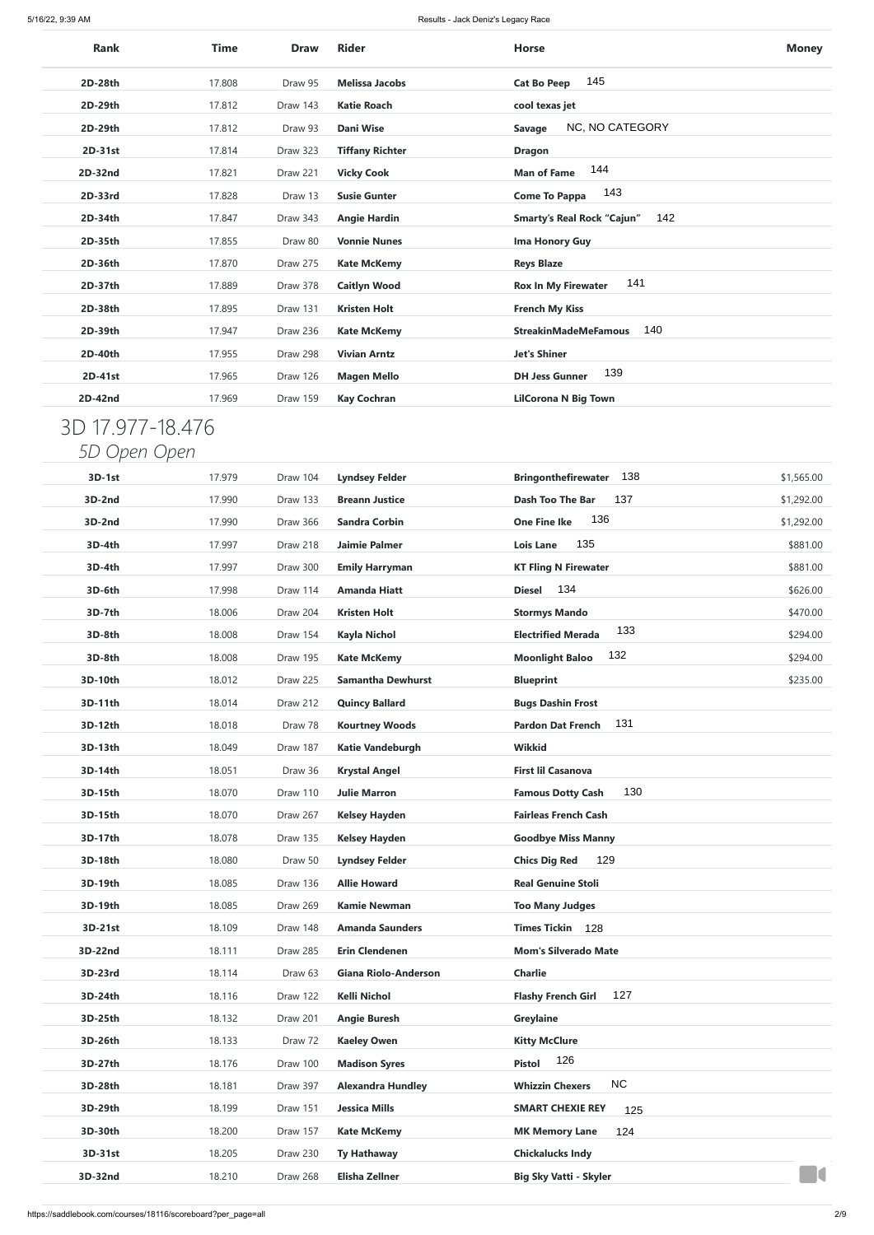| <b>Rank</b>      | Time   | <b>Draw</b> | <b>Rider</b>             | <b>Horse</b>                             | <b>Money</b> |
|------------------|--------|-------------|--------------------------|------------------------------------------|--------------|
| 2D-28th          | 17.808 | Draw 95     | <b>Melissa Jacobs</b>    | 145<br><b>Cat Bo Peep</b>                |              |
| 2D-29th          | 17.812 | Draw 143    | <b>Katie Roach</b>       | cool texas jet                           |              |
| 2D-29th          | 17.812 | Draw 93     | <b>Dani Wise</b>         | NC, NO CATEGORY<br><b>Savage</b>         |              |
| 2D-31st          | 17.814 | Draw 323    | <b>Tiffany Richter</b>   | <b>Dragon</b>                            |              |
| 2D-32nd          | 17.821 | Draw 221    | <b>Vicky Cook</b>        | 144<br><b>Man of Fame</b>                |              |
| 2D-33rd          | 17.828 | Draw 13     | <b>Susie Gunter</b>      | 143<br><b>Come To Pappa</b>              |              |
| 2D-34th          | 17.847 | Draw 343    | <b>Angie Hardin</b>      | 142<br><b>Smarty's Real Rock "Cajun"</b> |              |
| 2D-35th          | 17.855 | Draw 80     | <b>Vonnie Nunes</b>      | Ima Honory Guy                           |              |
| 2D-36th          | 17.870 | Draw 275    | <b>Kate McKemy</b>       | <b>Reys Blaze</b>                        |              |
| 2D-37th          | 17.889 | Draw 378    | <b>Caitlyn Wood</b>      | 141<br><b>Rox In My Firewater</b>        |              |
| 2D-38th          | 17.895 | Draw 131    | <b>Kristen Holt</b>      | <b>French My Kiss</b>                    |              |
| 2D-39th          | 17.947 | Draw 236    | <b>Kate McKemy</b>       | 140<br><b>StreakinMadeMeFamous</b>       |              |
| 2D-40th          | 17.955 | Draw 298    | <b>Vivian Arntz</b>      | <b>Jet's Shiner</b>                      |              |
| 2D-41st          | 17.965 | Draw 126    | <b>Magen Mello</b>       | 139<br><b>DH Jess Gunner</b>             |              |
| 2D-42nd          | 17.969 | Draw 159    | <b>Kay Cochran</b>       | <b>LilCorona N Big Town</b>              |              |
|                  |        |             |                          |                                          |              |
| 3D 17.977-18.476 |        |             |                          |                                          |              |
| 5D Open Open     |        |             |                          |                                          |              |
| 3D-1st           | 17.979 | Draw 104    | <b>Lyndsey Felder</b>    | 138<br><b>Bringonthefirewater</b>        | \$1,565.00   |
| 3D-2nd           | 17.990 | Draw 133    | <b>Breann Justice</b>    | 137<br><b>Dash Too The Bar</b>           | \$1,292.00   |
| 3D-2nd           | 17.990 | Draw 366    | <b>Sandra Corbin</b>     | 136<br><b>One Fine Ike</b>               | \$1,292.00   |
| 3D-4th           | 17.997 | Draw 218    | <b>Jaimie Palmer</b>     | 135<br><b>Lois Lane</b>                  | \$881.00     |
| 3D-4th           | 17.997 | Draw 300    | <b>Emily Harryman</b>    | <b>KT Fling N Firewater</b>              | \$881.00     |
| 3D-6th           | 17.998 | Draw 114    | <b>Amanda Hiatt</b>      | 134<br><b>Diesel</b>                     | \$626.00     |
| 3D-7th           | 18.006 | Draw 204    | <b>Kristen Holt</b>      | <b>Stormys Mando</b>                     | \$470.00     |
| 3D-8th           | 18.008 | Draw 154    | <b>Kayla Nichol</b>      | 133<br><b>Electrified Merada</b>         | \$294.00     |
| 3D-8th           | 18.008 | Draw 195    | <b>Kate McKemy</b>       | 132<br><b>Moonlight Baloo</b>            | \$294.00     |
| 3D-10th          | 18.012 | Draw 225    | <b>Samantha Dewhurst</b> | <b>Blueprint</b>                         | \$235.00     |
| 3D-11th          | 18.014 | Draw 212    | <b>Quincy Ballard</b>    | <b>Bugs Dashin Frost</b>                 |              |
| 3D-12th          | 18.018 | Draw 78     | <b>Kourtney Woods</b>    | 131<br><b>Pardon Dat French</b>          |              |
| 3D-13th          | 18.049 | Draw 187    | <b>Katie Vandeburgh</b>  | <b>Wikkid</b>                            |              |
| 3D-14th          | 18.051 | Draw 36     | <b>Krystal Angel</b>     | <b>First lil Casanova</b>                |              |
| 3D-15th          | 18.070 | Draw 110    | <b>Julie Marron</b>      | 130<br><b>Famous Dotty Cash</b>          |              |
| 3D-15th          | 18.070 | Draw 267    | <b>Kelsey Hayden</b>     | <b>Fairleas French Cash</b>              |              |
| 3D-17th          | 18.078 | Draw 135    | <b>Kelsey Hayden</b>     | <b>Goodbye Miss Manny</b>                |              |
| 3D-18th          | 18.080 | Draw 50     | <b>Lyndsey Felder</b>    | 129<br><b>Chics Dig Red</b>              |              |
| 3D-19th          | 18.085 | Draw 136    | <b>Allie Howard</b>      | <b>Real Genuine Stoli</b>                |              |
| 3D-19th          | 18.085 | Draw 269    | <b>Kamie Newman</b>      | <b>Too Many Judges</b>                   |              |
| 3D-21st          | 18.109 | Draw 148    | <b>Amanda Saunders</b>   | 128<br><b>Times Tickin</b>               |              |
| 3D-22nd          | 18.111 | Draw 285    | <b>Erin Clendenen</b>    | <b>Mom's Silverado Mate</b>              |              |
| 3D-23rd          | 18.114 | Draw 63     | Giana Riolo-Anderson     | <b>Charlie</b>                           |              |
| 3D-24th          | 18.116 | Draw 122    | Kelli Nichol             | 127<br><b>Flashy French Girl</b>         |              |
| 3D-25th          | 18.132 | Draw 201    | <b>Angie Buresh</b>      | <b>Greylaine</b>                         |              |
| 3D-26th          | 18.133 | Draw 72     | <b>Kaeley Owen</b>       | <b>Kitty McClure</b>                     |              |
| 3D-27th          | 18.176 | Draw 100    | <b>Madison Syres</b>     | 126<br><b>Pistol</b>                     |              |
| 3D-28th          | 18.181 | Draw 397    | <b>Alexandra Hundley</b> | <b>NC</b><br><b>Whizzin Chexers</b>      |              |
| 3D-29th          | 18.199 | Draw 151    | <b>Jessica Mills</b>     | <b>SMART CHEXIE REY</b><br>125           |              |
| 3D-30th          | 18.200 | Draw 157    | <b>Kate McKemy</b>       | <b>MK Memory Lane</b><br>124             |              |
| 3D-31st          | 18.205 | Draw 230    | <b>Ty Hathaway</b>       | <b>Chickalucks Indy</b>                  |              |
| 3D-32nd          | 18.210 | Draw 268    | <b>Elisha Zellner</b>    | <b>Big Sky Vatti - Skyler</b>            | HO           |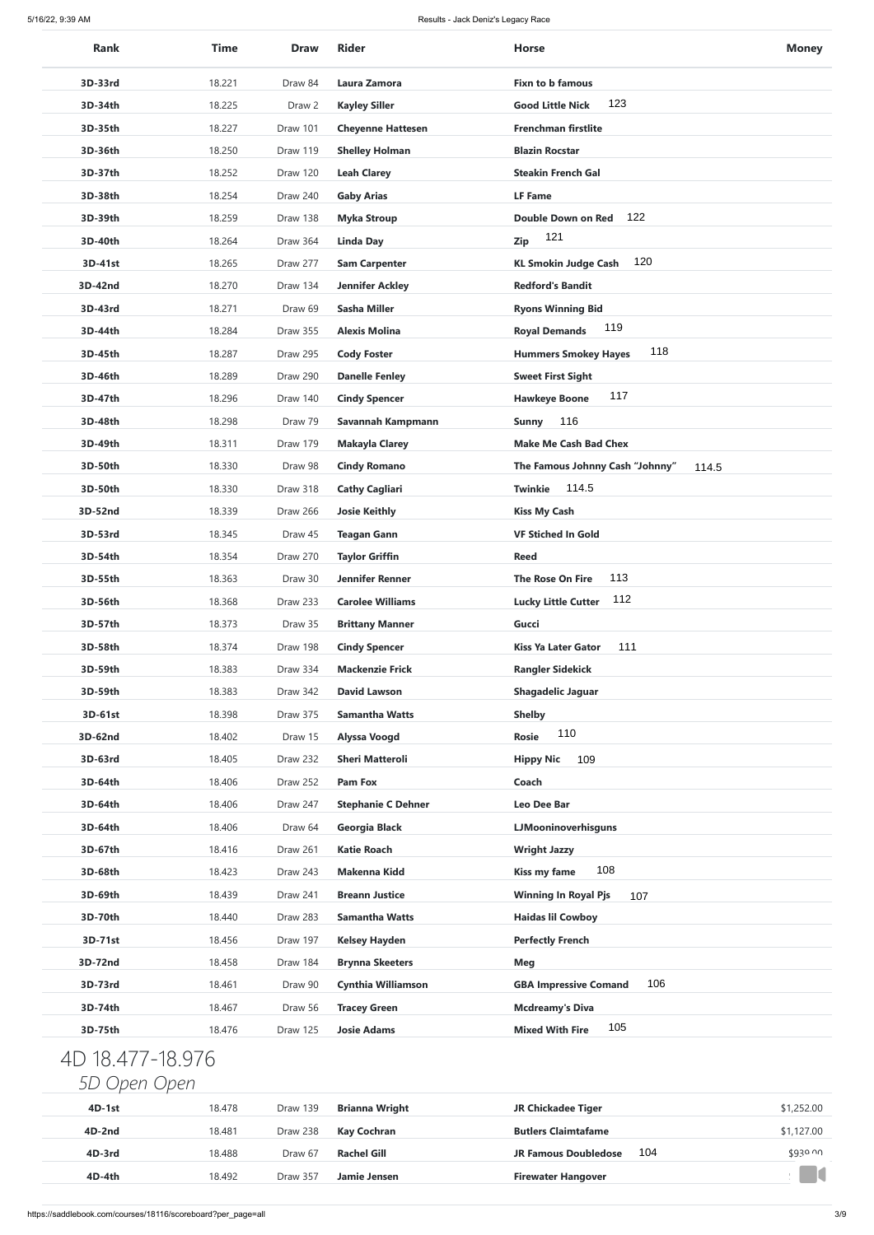| <b>Rank</b>      | <b>Time</b> | <b>Draw</b> | <b>Rider</b>              | <b>Horse</b>                             | <b>Money</b> |
|------------------|-------------|-------------|---------------------------|------------------------------------------|--------------|
| 3D-33rd          | 18.221      | Draw 84     | Laura Zamora              | <b>Fixn to b famous</b>                  |              |
| 3D-34th          | 18.225      | Draw 2      | <b>Kayley Siller</b>      | 123<br><b>Good Little Nick</b>           |              |
| 3D-35th          | 18.227      | Draw 101    | <b>Cheyenne Hattesen</b>  | <b>Frenchman firstlite</b>               |              |
| 3D-36th          | 18.250      | Draw 119    | <b>Shelley Holman</b>     | <b>Blazin Rocstar</b>                    |              |
| 3D-37th          | 18.252      | Draw 120    | <b>Leah Clarey</b>        | <b>Steakin French Gal</b>                |              |
| 3D-38th          | 18.254      | Draw 240    | <b>Gaby Arias</b>         | <b>LF Fame</b>                           |              |
| 3D-39th          | 18.259      | Draw 138    | <b>Myka Stroup</b>        | 122<br><b>Double Down on Red</b>         |              |
| 3D-40th          | 18.264      | Draw 364    | <b>Linda Day</b>          | 121<br>Zip                               |              |
| 3D-41st          | 18.265      | Draw 277    | <b>Sam Carpenter</b>      | 120<br><b>KL Smokin Judge Cash</b>       |              |
| 3D-42nd          | 18.270      | Draw 134    | <b>Jennifer Ackley</b>    | <b>Redford's Bandit</b>                  |              |
| 3D-43rd          | 18.271      | Draw 69     | <b>Sasha Miller</b>       | <b>Ryons Winning Bid</b>                 |              |
| 3D-44th          | 18.284      | Draw 355    | <b>Alexis Molina</b>      | 119<br><b>Royal Demands</b>              |              |
| 3D-45th          | 18.287      | Draw 295    | <b>Cody Foster</b>        | 118<br><b>Hummers Smokey Hayes</b>       |              |
| 3D-46th          | 18.289      | Draw 290    | <b>Danelle Fenley</b>     | <b>Sweet First Sight</b>                 |              |
| 3D-47th          | 18.296      | Draw 140    | <b>Cindy Spencer</b>      | 117<br><b>Hawkeye Boone</b>              |              |
| 3D-48th          | 18.298      | Draw 79     | Savannah Kampmann         | 116<br><b>Sunny</b>                      |              |
| 3D-49th          | 18.311      | Draw 179    | <b>Makayla Clarey</b>     | <b>Make Me Cash Bad Chex</b>             |              |
| 3D-50th          | 18.330      | Draw 98     | <b>Cindy Romano</b>       | The Famous Johnny Cash "Johnny"<br>114.5 |              |
| 3D-50th          | 18.330      | Draw 318    | <b>Cathy Cagliari</b>     | 114.5<br><b>Twinkie</b>                  |              |
| 3D-52nd          | 18.339      | Draw 266    | <b>Josie Keithly</b>      | <b>Kiss My Cash</b>                      |              |
| 3D-53rd          | 18.345      | Draw 45     | <b>Teagan Gann</b>        | <b>VF Stiched In Gold</b>                |              |
| 3D-54th          | 18.354      | Draw 270    | <b>Taylor Griffin</b>     | <b>Reed</b>                              |              |
| 3D-55th          | 18.363      | Draw 30     | <b>Jennifer Renner</b>    | 113<br><b>The Rose On Fire</b>           |              |
| 3D-56th          | 18.368      | Draw 233    | <b>Carolee Williams</b>   | 112<br><b>Lucky Little Cutter</b>        |              |
| 3D-57th          | 18.373      | Draw 35     | <b>Brittany Manner</b>    | <b>Gucci</b>                             |              |
| 3D-58th          | 18.374      | Draw 198    | <b>Cindy Spencer</b>      | 111<br><b>Kiss Ya Later Gator</b>        |              |
| 3D-59th          | 18.383      | Draw 334    | <b>Mackenzie Frick</b>    | <b>Rangler Sidekick</b>                  |              |
| 3D-59th          | 18.383      | Draw 342    | <b>David Lawson</b>       | <b>Shagadelic Jaguar</b>                 |              |
| 3D-61st          | 18.398      | Draw 375    | <b>Samantha Watts</b>     | <b>Shelby</b>                            |              |
| 3D-62nd          | 18.402      | Draw 15     | <b>Alyssa Voogd</b>       | 110<br><b>Rosie</b>                      |              |
| 3D-63rd          | 18.405      | Draw 232    | <b>Sheri Matteroli</b>    | 109<br><b>Hippy Nic</b>                  |              |
| 3D-64th          | 18.406      | Draw 252    | <b>Pam Fox</b>            | Coach                                    |              |
| 3D-64th          | 18.406      | Draw 247    | <b>Stephanie C Dehner</b> | Leo Dee Bar                              |              |
| 3D-64th          | 18.406      | Draw 64     | Georgia Black             | LJMooninoverhisguns                      |              |
| 3D-67th          | 18.416      | Draw 261    | <b>Katie Roach</b>        | <b>Wright Jazzy</b>                      |              |
| 3D-68th          | 18.423      | Draw 243    | <b>Makenna Kidd</b>       | 108<br><b>Kiss my fame</b>               |              |
| 3D-69th          | 18.439      | Draw 241    | <b>Breann Justice</b>     | <b>Winning In Royal Pjs</b><br>107       |              |
| 3D-70th          | 18.440      | Draw 283    | <b>Samantha Watts</b>     | <b>Haidas lil Cowboy</b>                 |              |
| 3D-71st          | 18.456      | Draw 197    | <b>Kelsey Hayden</b>      | <b>Perfectly French</b>                  |              |
| 3D-72nd          | 18.458      | Draw 184    | <b>Brynna Skeeters</b>    | Meg                                      |              |
| 3D-73rd          | 18.461      | Draw 90     | <b>Cynthia Williamson</b> | 106<br><b>GBA Impressive Comand</b>      |              |
| 3D-74th          | 18.467      | Draw 56     | <b>Tracey Green</b>       | <b>Mcdreamy's Diva</b>                   |              |
| 3D-75th          | 18.476      | Draw 125    | <b>Josie Adams</b>        | 105<br><b>Mixed With Fire</b>            |              |
| 4D 18.477-18.976 |             |             |                           |                                          |              |
| 5D Open Open     |             |             |                           |                                          |              |
| 4D-1st           | 18.478      | Draw 139    | <b>Brianna Wright</b>     | <b>JR Chickadee Tiger</b>                | \$1,252.00   |
| 4D-2nd           | 18.481      | Draw 238    | <b>Kay Cochran</b>        | <b>Butlers Claimtafame</b>               | \$1,127.00   |
| 4D-3rd           | 18.488      | Draw 67     | <b>Rachel Gill</b>        | 104<br><b>JR Famous Doubledose</b>       | \$930 00     |
| 4D-4th           | 18.492      | Draw 357    | <b>Jamie Jensen</b>       | <b>Firewater Hangover</b>                | K            |
|                  |             |             |                           |                                          |              |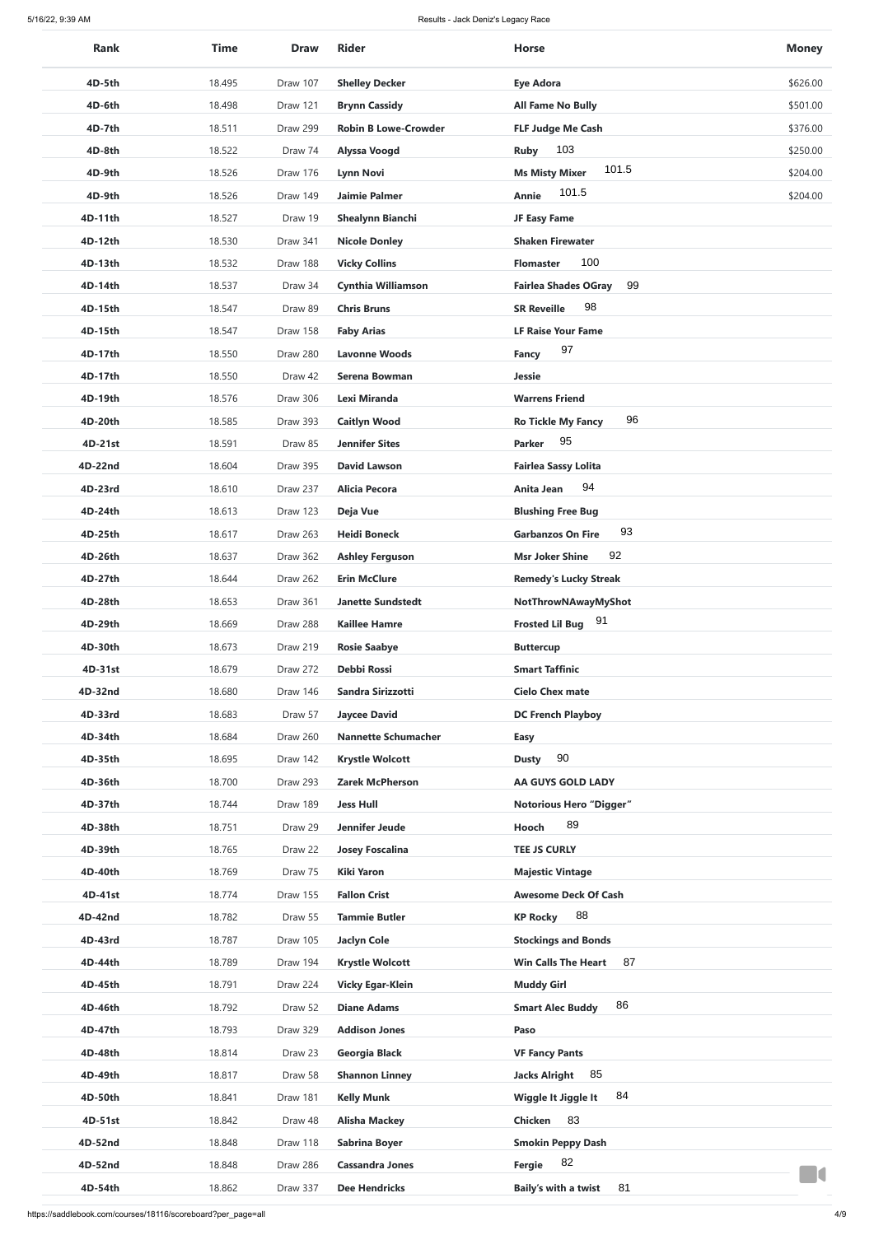| <b>Rank</b> | <b>Time</b> | <b>Draw</b> | <b>Rider</b>                | <b>Horse</b>                      | <b>Money</b> |
|-------------|-------------|-------------|-----------------------------|-----------------------------------|--------------|
| 4D-5th      | 18.495      | Draw 107    | <b>Shelley Decker</b>       | <b>Eye Adora</b>                  | \$626.00     |
| 4D-6th      | 18.498      | Draw 121    | <b>Brynn Cassidy</b>        | <b>All Fame No Bully</b>          | \$501.00     |
| 4D-7th      | 18.511      | Draw 299    | <b>Robin B Lowe-Crowder</b> | <b>FLF Judge Me Cash</b>          | \$376.00     |
| 4D-8th      | 18.522      | Draw 74     | <b>Alyssa Voogd</b>         | 103<br><b>Ruby</b>                | \$250.00     |
| 4D-9th      | 18.526      | Draw 176    | <b>Lynn Novi</b>            | 101.5<br><b>Ms Misty Mixer</b>    | \$204.00     |
| 4D-9th      | 18.526      | Draw 149    | <b>Jaimie Palmer</b>        | 101.5<br>Annie                    | \$204.00     |
| 4D-11th     | 18.527      | Draw 19     | <b>Shealynn Bianchi</b>     | JF Easy Fame                      |              |
| 4D-12th     | 18.530      | Draw 341    | <b>Nicole Donley</b>        | <b>Shaken Firewater</b>           |              |
| 4D-13th     | 18.532      | Draw 188    | <b>Vicky Collins</b>        | 100<br><b>Flomaster</b>           |              |
| 4D-14th     | 18.537      | Draw 34     | <b>Cynthia Williamson</b>   | 99<br><b>Fairlea Shades OGray</b> |              |
| 4D-15th     | 18.547      | Draw 89     | <b>Chris Bruns</b>          | 98<br><b>SR Reveille</b>          |              |
| 4D-15th     | 18.547      | Draw 158    | <b>Faby Arias</b>           | <b>LF Raise Your Fame</b>         |              |
| 4D-17th     | 18.550      | Draw 280    | <b>Lavonne Woods</b>        | 97<br><b>Fancy</b>                |              |
| 4D-17th     | 18.550      | Draw 42     | <b>Serena Bowman</b>        | <b>Jessie</b>                     |              |
|             |             |             |                             |                                   |              |
| 4D-19th     | 18.576      | Draw 306    | Lexi Miranda                | <b>Warrens Friend</b><br>96       |              |
| 4D-20th     | 18.585      | Draw 393    | <b>Caitlyn Wood</b>         | <b>Ro Tickle My Fancy</b><br>95   |              |
| 4D-21st     | 18.591      | Draw 85     | <b>Jennifer Sites</b>       | <b>Parker</b>                     |              |
| 4D-22nd     | 18.604      | Draw 395    | <b>David Lawson</b>         | <b>Fairlea Sassy Lolita</b>       |              |
| 4D-23rd     | 18.610      | Draw 237    | <b>Alicia Pecora</b>        | 94<br>Anita Jean                  |              |
| 4D-24th     | 18.613      | Draw 123    | Deja Vue                    | <b>Blushing Free Bug</b><br>93    |              |
| 4D-25th     | 18.617      | Draw 263    | <b>Heidi Boneck</b>         | <b>Garbanzos On Fire</b>          |              |
| 4D-26th     | 18.637      | Draw 362    | <b>Ashley Ferguson</b>      | 92<br><b>Msr Joker Shine</b>      |              |
| 4D-27th     | 18.644      | Draw 262    | <b>Erin McClure</b>         | <b>Remedy's Lucky Streak</b>      |              |
| 4D-28th     | 18.653      | Draw 361    | <b>Janette Sundstedt</b>    | NotThrowNAwayMyShot               |              |
| 4D-29th     | 18.669      | Draw 288    | <b>Kaillee Hamre</b>        | 91<br><b>Frosted Lil Bug</b>      |              |
| 4D-30th     | 18.673      | Draw 219    | <b>Rosie Saabye</b>         | <b>Buttercup</b>                  |              |
| 4D-31st     | 18.679      | Draw 272    | <b>Debbi Rossi</b>          | <b>Smart Taffinic</b>             |              |
| 4D-32nd     | 18.680      | Draw 146    | Sandra Sirizzotti           | <b>Cielo Chex mate</b>            |              |
| 4D-33rd     | 18.683      | Draw 57     | <b>Jaycee David</b>         | <b>DC French Playboy</b>          |              |
| 4D-34th     | 18.684      | Draw 260    | <b>Nannette Schumacher</b>  | <b>Easy</b>                       |              |
| 4D-35th     | 18.695      | Draw 142    | <b>Krystle Wolcott</b>      | 90<br><b>Dusty</b>                |              |
| 4D-36th     | 18.700      | Draw 293    | <b>Zarek McPherson</b>      | AA GUYS GOLD LADY                 |              |
| 4D-37th     | 18.744      | Draw 189    | <b>Jess Hull</b>            | <b>Notorious Hero "Digger"</b>    |              |
| 4D-38th     | 18.751      | Draw 29     | Jennifer Jeude              | 89<br>Hooch                       |              |
| 4D-39th     | 18.765      | Draw 22     | <b>Josey Foscalina</b>      | <b>TEE JS CURLY</b>               |              |
| 4D-40th     | 18.769      | Draw 75     | <b>Kiki Yaron</b>           | <b>Majestic Vintage</b>           |              |
| 4D-41st     | 18.774      | Draw 155    | <b>Fallon Crist</b>         | <b>Awesome Deck Of Cash</b>       |              |
| 4D-42nd     | 18.782      | Draw 55     | <b>Tammie Butler</b>        | 88<br><b>KP Rocky</b>             |              |
| 4D-43rd     | 18.787      | Draw 105    | <b>Jaclyn Cole</b>          | <b>Stockings and Bonds</b>        |              |
| 4D-44th     | 18.789      | Draw 194    | <b>Krystle Wolcott</b>      | 87<br><b>Win Calls The Heart</b>  |              |
| 4D-45th     | 18.791      | Draw 224    | <b>Vicky Egar-Klein</b>     | <b>Muddy Girl</b>                 |              |
| 4D-46th     | 18.792      | Draw 52     | <b>Diane Adams</b>          | 86<br><b>Smart Alec Buddy</b>     |              |
| 4D-47th     | 18.793      | Draw 329    | <b>Addison Jones</b>        | Paso                              |              |
| 4D-48th     | 18.814      | Draw 23     | Georgia Black               | <b>VF Fancy Pants</b>             |              |
| 4D-49th     | 18.817      | Draw 58     | <b>Shannon Linney</b>       | 85<br><b>Jacks Alright</b>        |              |
| 4D-50th     | 18.841      | Draw 181    | <b>Kelly Munk</b>           | 84<br><b>Wiggle It Jiggle It</b>  |              |
| 4D-51st     | 18.842      | Draw 48     | <b>Alisha Mackey</b>        | <b>Chicken</b><br>83              |              |
| 4D-52nd     | 18.848      | Draw 118    | <b>Sabrina Boyer</b>        | <b>Smokin Peppy Dash</b>          |              |
| 4D-52nd     | 18.848      | Draw 286    | <b>Cassandra Jones</b>      | 82<br>Fergie                      |              |
| 4D-54th     | 18.862      | Draw 337    | <b>Dee Hendricks</b>        | <b>Baily's with a twist</b><br>81 |              |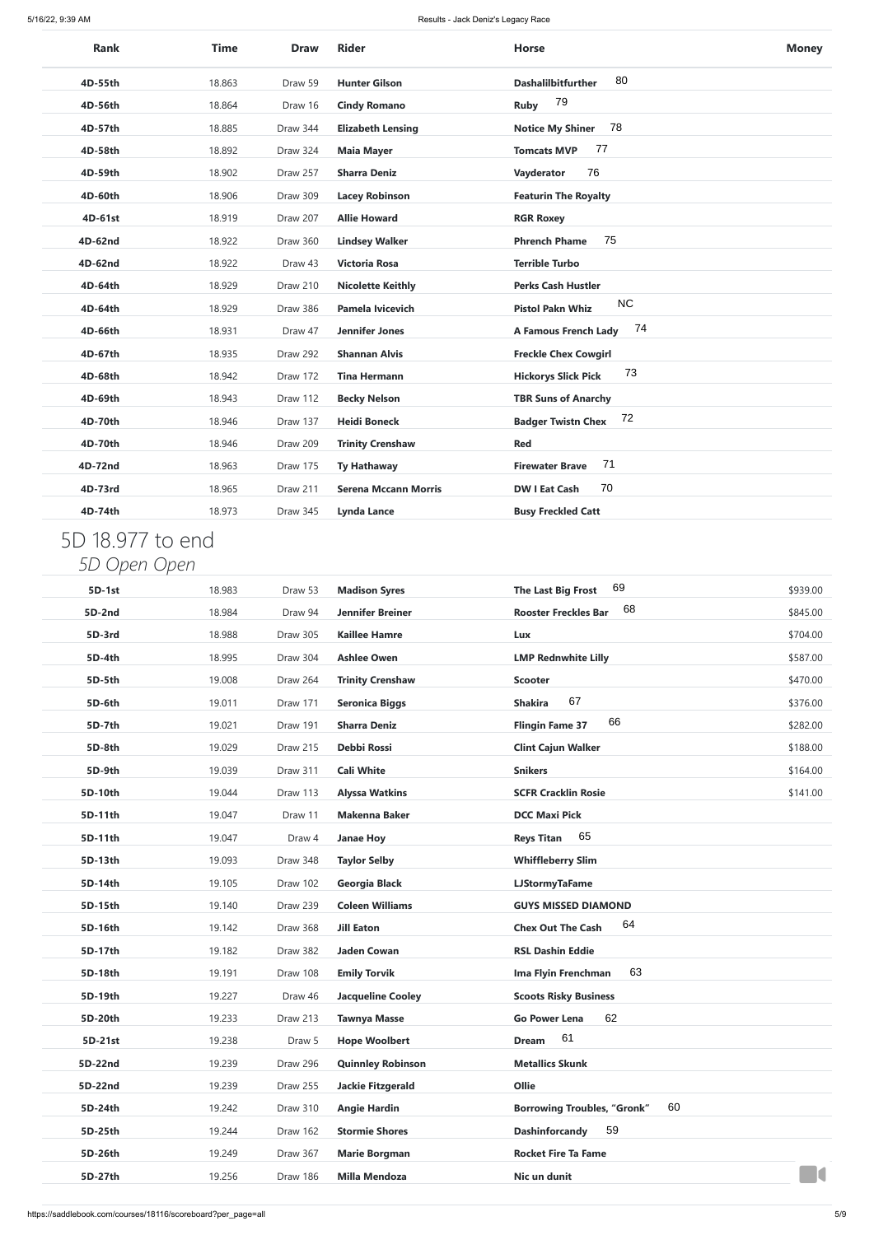| <b>Rank</b> | <b>Time</b> | <b>Draw</b> | <b>Rider</b>                | <b>Horse</b>                         | <b>Money</b> |
|-------------|-------------|-------------|-----------------------------|--------------------------------------|--------------|
| 4D-55th     | 18.863      | Draw 59     | <b>Hunter Gilson</b>        | 80<br><b>Dashalilbitfurther</b>      |              |
| 4D-56th     | 18.864      | Draw 16     | <b>Cindy Romano</b>         | 79<br>Ruby                           |              |
| 4D-57th     | 18.885      | Draw 344    | <b>Elizabeth Lensing</b>    | 78<br><b>Notice My Shiner</b>        |              |
| 4D-58th     | 18.892      | Draw 324    | <b>Maia Mayer</b>           | 77<br><b>Tomcats MVP</b>             |              |
| 4D-59th     | 18.902      | Draw 257    | <b>Sharra Deniz</b>         | 76<br>Vayderator                     |              |
| 4D-60th     | 18.906      | Draw 309    | <b>Lacey Robinson</b>       | <b>Featurin The Royalty</b>          |              |
| 4D-61st     | 18.919      | Draw 207    | <b>Allie Howard</b>         | <b>RGR Roxey</b>                     |              |
| 4D-62nd     | 18.922      | Draw 360    | <b>Lindsey Walker</b>       | 75<br><b>Phrench Phame</b>           |              |
| 4D-62nd     | 18.922      | Draw 43     | <b>Victoria Rosa</b>        | <b>Terrible Turbo</b>                |              |
| 4D-64th     | 18.929      | Draw 210    | <b>Nicolette Keithly</b>    | <b>Perks Cash Hustler</b>            |              |
| 4D-64th     | 18.929      | Draw 386    | <b>Pamela Ivicevich</b>     | <b>NC</b><br><b>Pistol Pakn Whiz</b> |              |
| 4D-66th     | 18.931      | Draw 47     | <b>Jennifer Jones</b>       | 74<br><b>A Famous French Lady</b>    |              |
| 4D-67th     | 18.935      | Draw 292    | <b>Shannan Alvis</b>        | <b>Freckle Chex Cowgirl</b>          |              |
| 4D-68th     | 18.942      | Draw 172    | <b>Tina Hermann</b>         | 73<br><b>Hickorys Slick Pick</b>     |              |
| 4D-69th     | 18.943      | Draw 112    | <b>Becky Nelson</b>         | <b>TBR Suns of Anarchy</b>           |              |
| 4D-70th     | 18.946      | Draw 137    | <b>Heidi Boneck</b>         | 72<br><b>Badger Twistn Chex</b>      |              |
| 4D-70th     | 18.946      | Draw 209    | <b>Trinity Crenshaw</b>     | <b>Red</b>                           |              |
| 4D-72nd     | 18.963      | Draw 175    | <b>Ty Hathaway</b>          | 71<br><b>Firewater Brave</b>         |              |
| 4D-73rd     | 18.965      | Draw 211    | <b>Serena Mccann Morris</b> | 70<br><b>DW I Eat Cash</b>           |              |
| 4D-74th     | 18.973      | Draw 345    | <b>Lynda Lance</b>          | <b>Busy Freckled Catt</b>            |              |

## 5D 18.977 to end *5D Open Open*

| 4D-55th                          | 18.863 | Draw 59  | <b>Hunter Gilson</b>        | 80<br><b>Dashalilbitfurther</b>          |          |
|----------------------------------|--------|----------|-----------------------------|------------------------------------------|----------|
| 4D-56th                          | 18.864 | Draw 16  | <b>Cindy Romano</b>         | 79<br><b>Ruby</b>                        |          |
| 4D-57th                          | 18.885 | Draw 344 | <b>Elizabeth Lensing</b>    | 78<br><b>Notice My Shiner</b>            |          |
| 4D-58th                          | 18.892 | Draw 324 | <b>Maia Mayer</b>           | 77<br><b>Tomcats MVP</b>                 |          |
| 4D-59th                          | 18.902 | Draw 257 | <b>Sharra Deniz</b>         | 76<br>Vayderator                         |          |
| 4D-60th                          | 18.906 | Draw 309 | <b>Lacey Robinson</b>       | <b>Featurin The Royalty</b>              |          |
| 4D-61st                          | 18.919 | Draw 207 | <b>Allie Howard</b>         | <b>RGR Roxey</b>                         |          |
| 4D-62nd                          | 18.922 | Draw 360 | <b>Lindsey Walker</b>       | 75<br><b>Phrench Phame</b>               |          |
| 4D-62nd                          | 18.922 | Draw 43  | <b>Victoria Rosa</b>        | <b>Terrible Turbo</b>                    |          |
| 4D-64th                          | 18.929 | Draw 210 | <b>Nicolette Keithly</b>    | <b>Perks Cash Hustler</b>                |          |
| 4D-64th                          | 18.929 | Draw 386 | <b>Pamela Ivicevich</b>     | <b>NC</b><br><b>Pistol Pakn Whiz</b>     |          |
| 4D-66th                          | 18.931 | Draw 47  | <b>Jennifer Jones</b>       | 74<br><b>A Famous French Lady</b>        |          |
| 4D-67th                          | 18.935 | Draw 292 | <b>Shannan Alvis</b>        | <b>Freckle Chex Cowgirl</b>              |          |
| 4D-68th                          | 18.942 | Draw 172 | <b>Tina Hermann</b>         | 73<br><b>Hickorys Slick Pick</b>         |          |
| 4D-69th                          | 18.943 | Draw 112 | <b>Becky Nelson</b>         | <b>TBR Suns of Anarchy</b>               |          |
| 4D-70th                          | 18.946 | Draw 137 | <b>Heidi Boneck</b>         | 72<br><b>Badger Twistn Chex</b>          |          |
| 4D-70th                          | 18.946 | Draw 209 | <b>Trinity Crenshaw</b>     | <b>Red</b>                               |          |
| 4D-72nd                          | 18.963 | Draw 175 | <b>Ty Hathaway</b>          | 71<br><b>Firewater Brave</b>             |          |
| 4D-73rd                          | 18.965 | Draw 211 | <b>Serena Mccann Morris</b> | 70<br><b>DW I Eat Cash</b>               |          |
| 4D-74th                          | 18.973 | Draw 345 | <b>Lynda Lance</b>          | <b>Busy Freckled Catt</b>                |          |
| 5D 18.977 to end<br>5D Open Open |        |          |                             |                                          |          |
| 5D-1st                           | 18.983 | Draw 53  | <b>Madison Syres</b>        | 69<br><b>The Last Big Frost</b>          | \$939.00 |
| 5D-2nd                           | 18.984 | Draw 94  | <b>Jennifer Breiner</b>     | 68<br><b>Rooster Freckles Bar</b>        | \$845.00 |
| 5D-3rd                           | 18.988 | Draw 305 | <b>Kaillee Hamre</b>        | Lux                                      | \$704.00 |
| 5D-4th                           | 18.995 | Draw 304 | <b>Ashlee Owen</b>          | <b>LMP Rednwhite Lilly</b>               | \$587.00 |
| 5D-5th                           | 19.008 | Draw 264 | <b>Trinity Crenshaw</b>     | <b>Scooter</b>                           | \$470.00 |
| 5D-6th                           | 19.011 | Draw 171 | <b>Seronica Biggs</b>       | 67<br><b>Shakira</b>                     | \$376.00 |
| 5D-7th                           | 19.021 | Draw 191 | <b>Sharra Deniz</b>         | 66<br><b>Flingin Fame 37</b>             | \$282.00 |
| 5D-8th                           | 19.029 | Draw 215 | Debbi Rossi                 | <b>Clint Cajun Walker</b>                | \$188.00 |
| 5D-9th                           | 19.039 | Draw 311 | <b>Cali White</b>           | <b>Snikers</b>                           | \$164.00 |
| 5D-10th                          | 19.044 | Draw 113 | <b>Alyssa Watkins</b>       | <b>SCFR Cracklin Rosie</b>               | \$141.00 |
| 5D-11th                          | 19.047 | Draw 11  | <b>Makenna Baker</b>        | <b>DCC Maxi Pick</b>                     |          |
| 5D-11th                          | 19.047 | Draw 4   | <b>Janae Hoy</b>            | 65<br><b>Reys Titan</b>                  |          |
| 5D-13th                          | 19.093 | Draw 348 | <b>Taylor Selby</b>         | <b>Whiffleberry Slim</b>                 |          |
| 5D-14th                          | 19.105 | Draw 102 | <b>Georgia Black</b>        | <b>LJStormyTaFame</b>                    |          |
| 5D-15th                          | 19.140 | Draw 239 | <b>Coleen Williams</b>      | <b>GUYS MISSED DIAMOND</b>               |          |
| 5D-16th                          | 19.142 | Draw 368 | <b>Jill Eaton</b>           | 64<br><b>Chex Out The Cash</b>           |          |
| 5D-17th                          | 19.182 | Draw 382 | <b>Jaden Cowan</b>          | <b>RSL Dashin Eddie</b>                  |          |
| 5D-18th                          | 19.191 | Draw 108 | <b>Emily Torvik</b>         | 63<br>Ima Flyin Frenchman                |          |
| 5D-19th                          | 19.227 | Draw 46  | <b>Jacqueline Cooley</b>    | <b>Scoots Risky Business</b>             |          |
| 5D-20th                          | 19.233 | Draw 213 | <b>Tawnya Masse</b>         | <b>Go Power Lena</b><br>62               |          |
| 5D-21st                          | 19.238 | Draw 5   | <b>Hope Woolbert</b>        | 61<br><b>Dream</b>                       |          |
| 5D-22nd                          | 19.239 | Draw 296 | <b>Quinnley Robinson</b>    | <b>Metallics Skunk</b>                   |          |
| 5D-22nd                          | 19.239 | Draw 255 | <b>Jackie Fitzgerald</b>    | Ollie                                    |          |
| 5D-24th                          | 19.242 | Draw 310 | <b>Angie Hardin</b>         | 60<br><b>Borrowing Troubles, "Gronk"</b> |          |
| 5D-25th                          | 19.244 | Draw 162 | <b>Stormie Shores</b>       | 59<br><b>Dashinforcandy</b>              |          |
| 5D-26th                          | 19.249 | Draw 367 | <b>Marie Borgman</b>        | <b>Rocket Fire Ta Fame</b>               |          |
| 5D-27th                          | 19.256 | Draw 186 | <b>Milla Mendoza</b>        | Nic un dunit                             | H        |
|                                  |        |          |                             |                                          |          |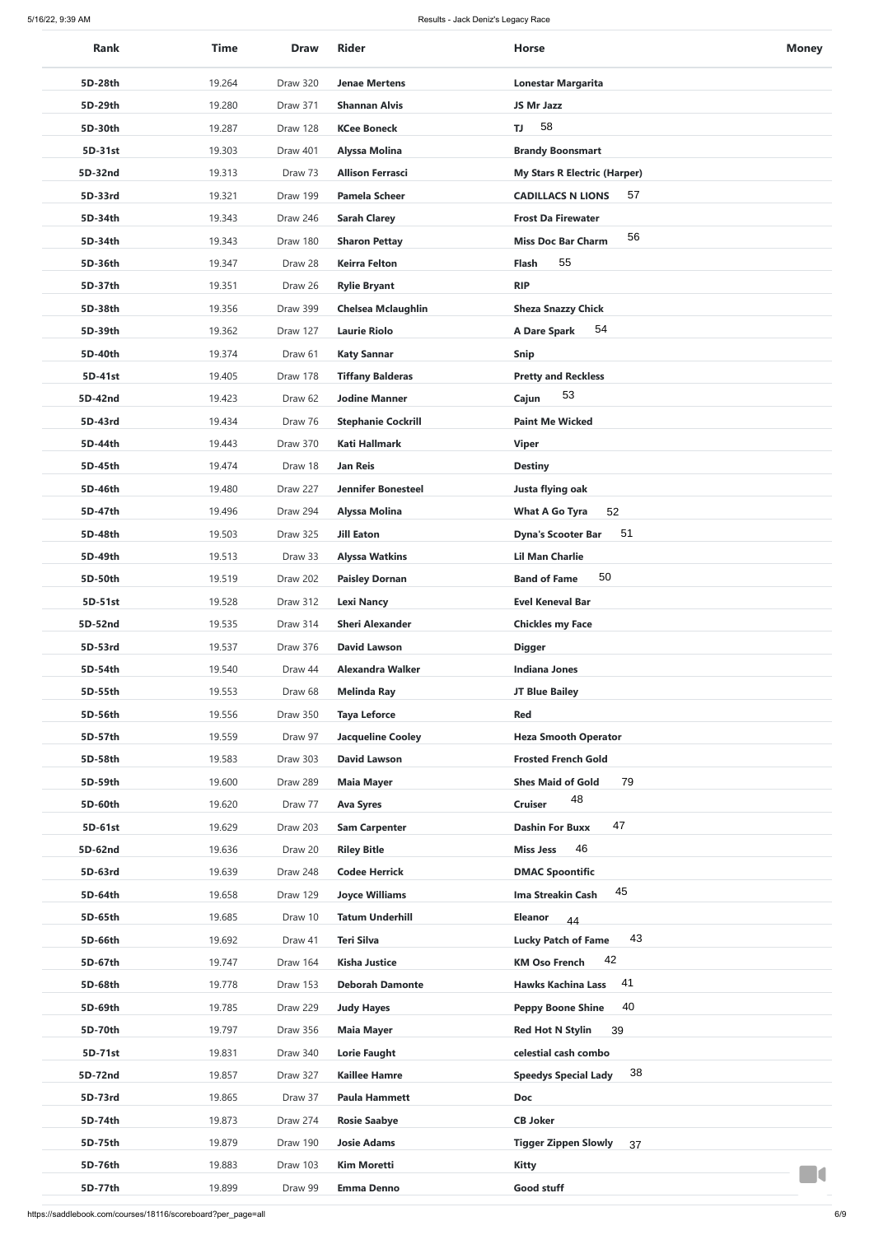| <b>Rank</b>        | <b>Time</b>      | <b>Draw</b>         | <b>Rider</b>                               | <b>Horse</b>                                     | <b>Money</b> |
|--------------------|------------------|---------------------|--------------------------------------------|--------------------------------------------------|--------------|
| 5D-28th            | 19.264           | Draw 320            | <b>Jenae Mertens</b>                       | <b>Lonestar Margarita</b>                        |              |
| 5D-29th            | 19.280           | Draw 371            | <b>Shannan Alvis</b>                       | JS Mr Jazz                                       |              |
| 5D-30th            | 19.287           | Draw 128            | <b>KCee Boneck</b>                         | 58<br>TJ                                         |              |
| 5D-31st            | 19.303           | Draw 401            | <b>Alyssa Molina</b>                       | <b>Brandy Boonsmart</b>                          |              |
| 5D-32nd            | 19.313           | Draw 73             | <b>Allison Ferrasci</b>                    | <b>My Stars R Electric (Harper)</b>              |              |
| 5D-33rd            | 19.321           | Draw 199            | <b>Pamela Scheer</b>                       | 57<br><b>CADILLACS N LIONS</b>                   |              |
| 5D-34th            | 19.343           | Draw 246            | <b>Sarah Clarey</b>                        | <b>Frost Da Firewater</b>                        |              |
| 5D-34th            | 19.343           | Draw 180            | <b>Sharon Pettay</b>                       | 56<br><b>Miss Doc Bar Charm</b>                  |              |
| 5D-36th            | 19.347           | Draw 28             | <b>Keirra Felton</b>                       | 55<br><b>Flash</b>                               |              |
| 5D-37th            | 19.351           | Draw 26             | <b>Rylie Bryant</b>                        | <b>RIP</b>                                       |              |
| 5D-38th            | 19.356           | Draw 399            | <b>Chelsea Mclaughlin</b>                  | <b>Sheza Snazzy Chick</b>                        |              |
| 5D-39th            | 19.362           | Draw 127            | <b>Laurie Riolo</b>                        | 54<br>A Dare Spark                               |              |
| 5D-40th            | 19.374           | Draw 61             | <b>Katy Sannar</b>                         | Snip                                             |              |
| 5D-41st            | 19.405           | Draw 178            | <b>Tiffany Balderas</b>                    | <b>Pretty and Reckless</b>                       |              |
| 5D-42nd            | 19.423           | Draw 62             | <b>Jodine Manner</b>                       | Cajun                                            |              |
| 5D-43rd            | 19.434           | Draw 76             | <b>Stephanie Cockrill</b>                  | <b>Paint Me Wicked</b>                           |              |
| 5D-44th            | 19.443           | Draw 370            | <b>Kati Hallmark</b>                       | <b>Viper</b>                                     |              |
| 5D-45th            | 19.474           | Draw 18             | <b>Jan Reis</b>                            | <b>Destiny</b>                                   |              |
| 5D-46th            | 19.480           | Draw 227            | <b>Jennifer Bonesteel</b>                  | Justa flying oak                                 |              |
| 5D-47th            | 19.496           | Draw 294            | <b>Alyssa Molina</b>                       | <b>What A Go Tyra</b><br>52                      |              |
| 5D-48th            | 19.503           | Draw 325            | <b>Jill Eaton</b>                          | 51<br><b>Dyna's Scooter Bar</b>                  |              |
| 5D-49th            | 19.513           | Draw 33             | <b>Alyssa Watkins</b>                      | <b>Lil Man Charlie</b>                           |              |
| 5D-50th            | 19.519           | Draw 202            | <b>Paisley Dornan</b>                      | 50<br><b>Band of Fame</b>                        |              |
| 5D-51st            | 19.528           | Draw 312            | <b>Lexi Nancy</b>                          | <b>Evel Keneval Bar</b>                          |              |
| 5D-52nd            | 19.535           | Draw 314            | <b>Sheri Alexander</b>                     | <b>Chickles my Face</b>                          |              |
| 5D-53rd            | 19.537           | Draw 376            | <b>David Lawson</b>                        | <b>Digger</b>                                    |              |
| 5D-54th            | 19.540           | Draw 44             | <b>Alexandra Walker</b>                    | <b>Indiana Jones</b>                             |              |
| 5D-55th            | 19.553           | Draw 68             | <b>Melinda Ray</b>                         | <b>JT Blue Bailey</b>                            |              |
| 5D-56th            | 19.556           | Draw 350            | <b>Taya Leforce</b>                        | <b>Red</b>                                       |              |
| 5D-57th            | 19.559           | Draw 97             | <b>Jacqueline Cooley</b>                   | <b>Heza Smooth Operator</b>                      |              |
| 5D-58th            | 19.583           | Draw 303            | <b>David Lawson</b>                        | <b>Frosted French Gold</b>                       |              |
| 5D-59th            | 19.600           | Draw 289            | <b>Maia Mayer</b>                          | 79<br><b>Shes Maid of Gold</b><br>48             |              |
| 5D-60th            | 19.620           | Draw 77             | <b>Ava Syres</b>                           | <b>Cruiser</b><br>47                             |              |
| 5D-61st<br>5D-62nd | 19.629<br>19.636 | Draw 203<br>Draw 20 | <b>Sam Carpenter</b><br><b>Riley Bitle</b> | <b>Dashin For Buxx</b><br>46<br><b>Miss Jess</b> |              |
| 5D-63rd            | 19.639           | Draw 248            | <b>Codee Herrick</b>                       | <b>DMAC Spoontific</b>                           |              |
| 5D-64th            | 19.658           | Draw 129            | <b>Joyce Williams</b>                      | 45<br>Ima Streakin Cash                          |              |
| 5D-65th            | 19.685           | Draw 10             | <b>Tatum Underhill</b>                     | <b>Eleanor</b><br>44                             |              |
| 5D-66th            | 19.692           | Draw 41             | <b>Teri Silva</b>                          | 43<br><b>Lucky Patch of Fame</b>                 |              |
| 5D-67th            | 19.747           | Draw 164            | <b>Kisha Justice</b>                       | 42<br><b>KM Oso French</b>                       |              |
| 5D-68th            | 19.778           | Draw 153            | <b>Deborah Damonte</b>                     | 41<br><b>Hawks Kachina Lass</b>                  |              |
| 5D-69th            | 19.785           | Draw 229            | <b>Judy Hayes</b>                          | 40<br><b>Peppy Boone Shine</b>                   |              |
| 5D-70th            | 19.797           | Draw 356            | <b>Maia Mayer</b>                          | <b>Red Hot N Stylin</b><br>39                    |              |
| 5D-71st            | 19.831           | Draw 340            | <b>Lorie Faught</b>                        | celestial cash combo                             |              |
| 5D-72nd            | 19.857           | Draw 327            | <b>Kaillee Hamre</b>                       | 38<br><b>Speedys Special Lady</b>                |              |
| 5D-73rd            | 19.865           | Draw 37             | <b>Paula Hammett</b>                       | <b>Doc</b>                                       |              |
| 5D-74th            | 19.873           | Draw 274            | <b>Rosie Saabye</b>                        | <b>CB Joker</b>                                  |              |
| 5D-75th            | 19.879           | Draw 190            | <b>Josie Adams</b>                         | <b>Tigger Zippen Slowly</b><br>37                |              |
| 5D-76th            | 19.883           | Draw 103            | <b>Kim Moretti</b>                         | <b>Kitty</b>                                     |              |
| 5D-77th            | 19.899           | Draw 99             | <b>Emma Denno</b>                          | Good stuff                                       |              |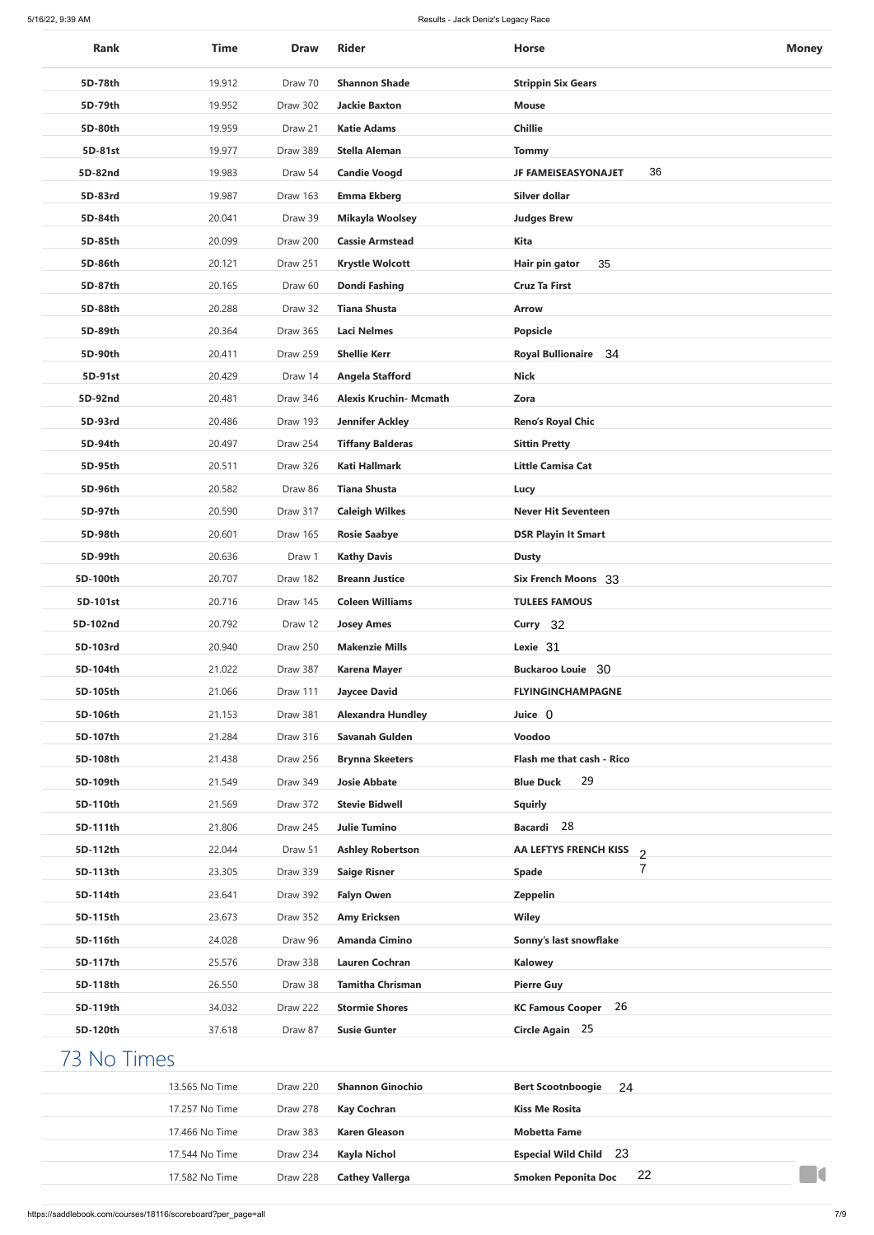| <b>Rank</b> | <b>Time</b>    | <b>Draw</b> | <b>Rider</b>                  | <b>Horse</b>                                              | <b>Money</b> |
|-------------|----------------|-------------|-------------------------------|-----------------------------------------------------------|--------------|
| 5D-78th     | 19.912         | Draw 70     | <b>Shannon Shade</b>          | <b>Strippin Six Gears</b>                                 |              |
| 5D-79th     | 19.952         | Draw 302    | <b>Jackie Baxton</b>          | <b>Mouse</b>                                              |              |
| 5D-80th     | 19.959         | Draw 21     | <b>Katie Adams</b>            | <b>Chillie</b>                                            |              |
| 5D-81st     | 19.977         | Draw 389    | <b>Stella Aleman</b>          | <b>Tommy</b>                                              |              |
| 5D-82nd     | 19.983         | Draw 54     | <b>Candie Voogd</b>           | 36<br><b>JF FAMEISEASYONAJET</b>                          |              |
| 5D-83rd     | 19.987         | Draw 163    | <b>Emma Ekberg</b>            | Silver dollar                                             |              |
| 5D-84th     | 20.041         | Draw 39     | <b>Mikayla Woolsey</b>        | <b>Judges Brew</b>                                        |              |
| 5D-85th     | 20.099         | Draw 200    | <b>Cassie Armstead</b>        | <b>Kita</b>                                               |              |
| 5D-86th     | 20.121         | Draw 251    | <b>Krystle Wolcott</b>        | 35<br>Hair pin gator                                      |              |
| 5D-87th     | 20.165         | Draw 60     | <b>Dondi Fashing</b>          | <b>Cruz Ta First</b>                                      |              |
| 5D-88th     | 20.288         | Draw 32     | <b>Tiana Shusta</b>           | <b>Arrow</b>                                              |              |
| 5D-89th     | 20.364         | Draw 365    | <b>Laci Nelmes</b>            | <b>Popsicle</b>                                           |              |
| 5D-90th     | 20.411         | Draw 259    | <b>Shellie Kerr</b>           | <b>Royal Bullionaire 34</b>                               |              |
| 5D-91st     | 20.429         | Draw 14     | <b>Angela Stafford</b>        | <b>Nick</b>                                               |              |
| 5D-92nd     | 20.481         | Draw 346    | <b>Alexis Kruchin- Mcmath</b> | Zora                                                      |              |
| 5D-93rd     | 20.486         | Draw 193    | <b>Jennifer Ackley</b>        | <b>Reno's Royal Chic</b>                                  |              |
| 5D-94th     | 20.497         | Draw 254    | <b>Tiffany Balderas</b>       | <b>Sittin Pretty</b>                                      |              |
| 5D-95th     | 20.511         | Draw 326    | <b>Kati Hallmark</b>          | <b>Little Camisa Cat</b>                                  |              |
| 5D-96th     | 20.582         | Draw 86     | <b>Tiana Shusta</b>           |                                                           |              |
| 5D-97th     | 20.590         |             |                               | Lucy                                                      |              |
|             |                | Draw 317    | <b>Caleigh Wilkes</b>         | <b>Never Hit Seventeen</b>                                |              |
| 5D-98th     | 20.601         | Draw 165    | <b>Rosie Saabye</b>           | <b>DSR Playin It Smart</b>                                |              |
| 5D-99th     | 20.636         | Draw 1      | <b>Kathy Davis</b>            | <b>Dusty</b>                                              |              |
| 5D-100th    | 20.707         | Draw 182    | <b>Breann Justice</b>         | <b>Six French Moons 33</b>                                |              |
| 5D-101st    | 20.716         | Draw 145    | <b>Coleen Williams</b>        | <b>TULEES FAMOUS</b>                                      |              |
| 5D-102nd    | 20.792         | Draw 12     | <b>Josey Ames</b>             | Curry 32                                                  |              |
| 5D-103rd    | 20.940         | Draw 250    | <b>Makenzie Mills</b>         | Lexie 31                                                  |              |
| 5D-104th    | 21.022         | Draw 387    | <b>Karena Mayer</b>           | <b>Buckaroo Louie</b> 30                                  |              |
| 5D-105th    | 21.066         | Draw 111    | <b>Jaycee David</b>           | <b>FLYINGINCHAMPAGNE</b>                                  |              |
| 5D-106th    | 21.153         | Draw 381    | <b>Alexandra Hundley</b>      | Juice 0                                                   |              |
| 5D-107th    | 21.284         | Draw 316    | <b>Savanah Gulden</b>         | Voodoo                                                    |              |
| 5D-108th    | 21.438         | Draw 256    | <b>Brynna Skeeters</b>        | Flash me that cash - Rico                                 |              |
| 5D-109th    | 21.549         | Draw 349    | <b>Josie Abbate</b>           | 29<br><b>Blue Duck</b>                                    |              |
| 5D-110th    | 21.569         | Draw 372    | <b>Stevie Bidwell</b>         | <b>Squirly</b>                                            |              |
| 5D-111th    | 21.806         | Draw 245    | <b>Julie Tumino</b>           | Bacardi 28                                                |              |
| 5D-112th    | 22.044         | Draw 51     | <b>Ashley Robertson</b>       | AA LEFTYS FRENCH KISS<br>$\overline{2}$<br>$\overline{7}$ |              |
| 5D-113th    | 23.305         | Draw 339    | <b>Saige Risner</b>           | <b>Spade</b>                                              |              |
| 5D-114th    | 23.641         | Draw 392    | <b>Falyn Owen</b>             | <b>Zeppelin</b>                                           |              |
| 5D-115th    | 23.673         | Draw 352    | <b>Amy Ericksen</b>           | <b>Wiley</b>                                              |              |
| 5D-116th    | 24.028         | Draw 96     | <b>Amanda Cimino</b>          | Sonny's last snowflake                                    |              |
| 5D-117th    | 25.576         | Draw 338    | <b>Lauren Cochran</b>         | <b>Kalowey</b>                                            |              |
| 5D-118th    | 26.550         | Draw 38     | <b>Tamitha Chrisman</b>       | <b>Pierre Guy</b>                                         |              |
| 5D-119th    | 34.032         | Draw 222    | <b>Stormie Shores</b>         | <b>KC Famous Cooper</b> 26                                |              |
| 5D-120th    | 37.618         | Draw 87     | <b>Susie Gunter</b>           | Circle Again 25                                           |              |
| 73 No Times |                |             |                               |                                                           |              |
|             | 13.565 No Time | Draw 220    | <b>Shannon Ginochio</b>       | <b>Bert Scootnboogie</b><br>24                            |              |
|             | 17.257 No Time | Draw 278    | <b>Kay Cochran</b>            | <b>Kiss Me Rosita</b>                                     |              |
|             | 17.466 No Time | Draw 383    | <b>Karen Gleason</b>          | <b>Mobetta Fame</b>                                       |              |
|             | 17.544 No Time | Draw 234    | <b>Kayla Nichol</b>           | <b>Especial Wild Child</b> 23                             |              |
|             | 17.582 No Time | Draw 228    | <b>Cathey Vallerga</b>        | 22<br><b>Smoken Peponita Doc</b>                          |              |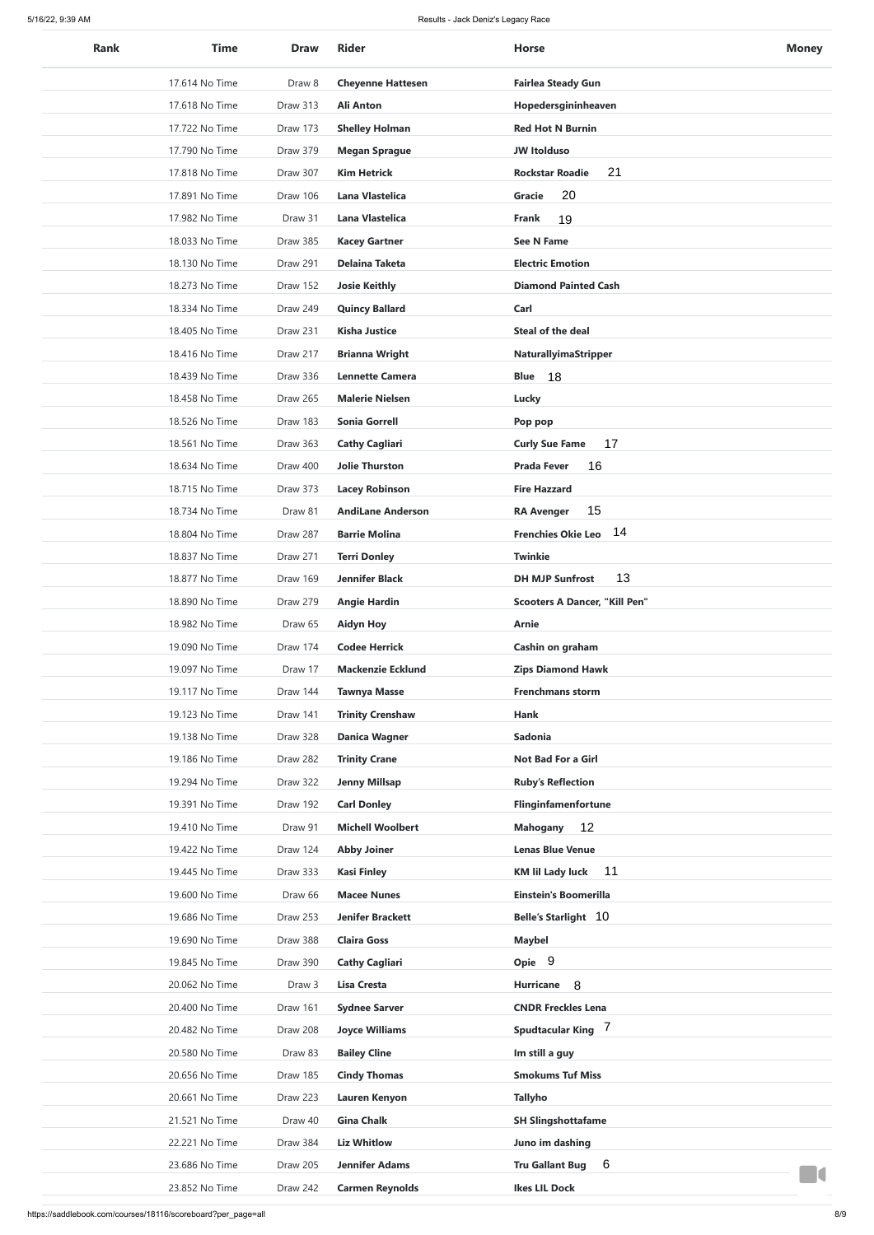| <b>Rank</b> | <b>Time</b>    | <b>Draw</b> | <b>Rider</b>                                  | <b>Horse</b>                         | <b>Money</b> |
|-------------|----------------|-------------|-----------------------------------------------|--------------------------------------|--------------|
|             | 17.614 No Time | Draw 8      | <b>Cheyenne Hattesen</b>                      | <b>Fairlea Steady Gun</b>            |              |
|             | 17.618 No Time | Draw 313    | <b>Ali Anton</b>                              | Hopedersgininheaven                  |              |
|             | 17.722 No Time | Draw 173    | <b>Shelley Holman</b>                         | <b>Red Hot N Burnin</b>              |              |
|             | 17.790 No Time | Draw 379    | <b>Megan Sprague</b>                          | <b>JW Itolduso</b>                   |              |
|             | 17.818 No Time | Draw 307    | <b>Kim Hetrick</b>                            | 21<br><b>Rockstar Roadie</b>         |              |
|             | 17.891 No Time | Draw 106    | <b>Lana Vlastelica</b>                        | 20<br><b>Gracie</b>                  |              |
|             | 17.982 No Time | Draw 31     | <b>Lana Vlastelica</b>                        | 19<br><b>Frank</b>                   |              |
|             | 18.033 No Time | Draw 385    | <b>Kacey Gartner</b>                          | <b>See N Fame</b>                    |              |
|             | 18.130 No Time | Draw 291    | <b>Delaina Taketa</b>                         | <b>Electric Emotion</b>              |              |
|             | 18.273 No Time | Draw 152    | <b>Josie Keithly</b>                          | <b>Diamond Painted Cash</b>          |              |
|             | 18.334 No Time | Draw 249    | <b>Quincy Ballard</b>                         | Carl                                 |              |
|             | 18.405 No Time | Draw 231    | <b>Kisha Justice</b>                          | <b>Steal of the deal</b>             |              |
|             | 18.416 No Time | Draw 217    | <b>Brianna Wright</b>                         | <b>NaturallyimaStripper</b>          |              |
|             | 18.439 No Time | Draw 336    | <b>Lennette Camera</b>                        | 18<br><b>Blue</b>                    |              |
|             | 18.458 No Time | Draw 265    | <b>Malerie Nielsen</b>                        | <b>Lucky</b>                         |              |
|             | 18.526 No Time | Draw 183    | <b>Sonia Gorrell</b>                          | Pop pop                              |              |
|             | 18.561 No Time | Draw 363    | <b>Cathy Cagliari</b>                         | 17<br><b>Curly Sue Fame</b>          |              |
|             | 18.634 No Time | Draw 400    | <b>Jolie Thurston</b>                         | 16<br><b>Prada Fever</b>             |              |
|             | 18.715 No Time | Draw 373    | <b>Lacey Robinson</b>                         | <b>Fire Hazzard</b>                  |              |
|             | 18.734 No Time | Draw 81     | <b>AndiLane Anderson</b>                      | 15<br><b>RA Avenger</b>              |              |
|             | 18.804 No Time | Draw 287    | <b>Barrie Molina</b>                          | 14<br><b>Frenchies Okie Leo</b>      |              |
|             | 18.837 No Time | Draw 271    | <b>Terri Donley</b>                           | <b>Twinkie</b>                       |              |
|             | 18.877 No Time | Draw 169    | <b>Jennifer Black</b>                         | 13<br><b>DH MJP Sunfrost</b>         |              |
|             | 18.890 No Time | Draw 279    | <b>Angie Hardin</b>                           | <b>Scooters A Dancer, "Kill Pen"</b> |              |
|             | 18.982 No Time | Draw 65     | <b>Aidyn Hoy</b>                              | <b>Arnie</b>                         |              |
|             | 19.090 No Time | Draw 174    | <b>Codee Herrick</b>                          | Cashin on graham                     |              |
|             | 19.097 No Time | Draw 17     | <b>Mackenzie Ecklund</b>                      | <b>Zips Diamond Hawk</b>             |              |
|             | 19.117 No Time | Draw 144    | <b>Tawnya Masse</b>                           | <b>Frenchmans storm</b>              |              |
|             | 19.123 No Time | Draw 141    | <b>Trinity Crenshaw</b>                       | Hank                                 |              |
|             | 19.138 No Time | Draw 328    | <b>Danica Wagner</b>                          | <b>Sadonia</b>                       |              |
|             | 19.186 No Time | Draw 282    | <b>Trinity Crane</b>                          | Not Bad For a Girl                   |              |
|             | 19.294 No Time | Draw 322    | <b>Jenny Millsap</b>                          | <b>Ruby's Reflection</b>             |              |
|             | 19.391 No Time | Draw 192    | <b>Carl Donley</b>                            | Flinginfamenfortune                  |              |
|             | 19.410 No Time | Draw 91     | <b>Michell Woolbert</b>                       | 12<br><b>Mahogany</b>                |              |
|             | 19.422 No Time | Draw 124    | <b>Abby Joiner</b>                            | <b>Lenas Blue Venue</b>              |              |
|             | 19.445 No Time | Draw 333    | <b>Kasi Finley</b>                            | 11<br><b>KM lil Lady luck</b>        |              |
|             | 19.600 No Time | Draw 66     | <b>Macee Nunes</b>                            | <b>Einstein's Boomerilla</b>         |              |
|             | 19.686 No Time | Draw 253    | <b>Jenifer Brackett</b>                       | <b>Belle's Starlight 10</b>          |              |
|             | 19.690 No Time | Draw 388    | <b>Claira Goss</b>                            | <b>Maybel</b>                        |              |
|             | 19.845 No Time | Draw 390    | <b>Cathy Cagliari</b>                         | Opie 9                               |              |
|             | 20.062 No Time | Draw 3      | <b>Lisa Cresta</b>                            | Hurricane 8                          |              |
|             | 20.400 No Time | Draw 161    |                                               | <b>CNDR Freckles Lena</b>            |              |
|             | 20.482 No Time | Draw 208    | <b>Sydnee Sarver</b><br><b>Joyce Williams</b> | Spudtacular King 7                   |              |
|             | 20.580 No Time | Draw 83     | <b>Bailey Cline</b>                           | Im still a guy                       |              |
|             | 20.656 No Time | Draw 185    | <b>Cindy Thomas</b>                           | <b>Smokums Tuf Miss</b>              |              |
|             | 20.661 No Time | Draw 223    | Lauren Kenyon                                 | <b>Tallyho</b>                       |              |
|             | 21.521 No Time | Draw 40     | <b>Gina Chalk</b>                             | <b>SH Slingshottafame</b>            |              |
|             | 22.221 No Time | Draw 384    | <b>Liz Whitlow</b>                            | Juno im dashing                      |              |
|             | 23.686 No Time | Draw 205    | <b>Jennifer Adams</b>                         | 6<br><b>Tru Gallant Bug</b>          |              |
|             |                |             |                                               | <b>Ikes LIL Dock</b>                 |              |
|             | 23.852 No Time | Draw 242    | <b>Carmen Reynolds</b>                        |                                      |              |